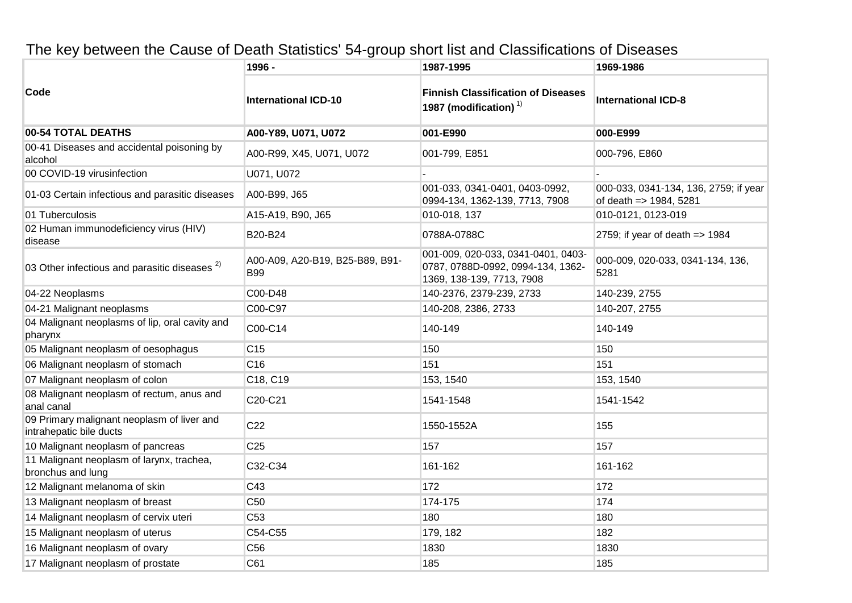## The key between the Cause of Death Statistics' 54-group short list and Classifications of Diseases

|                                                                       | 1996 -                                        | 1987-1995                                                                                            | 1969-1986                                                       |
|-----------------------------------------------------------------------|-----------------------------------------------|------------------------------------------------------------------------------------------------------|-----------------------------------------------------------------|
| Code                                                                  | <b>International ICD-10</b>                   | <b>Finnish Classification of Diseases</b><br>1987 (modification) $1$                                 | <b>International ICD-8</b>                                      |
| 00-54 TOTAL DEATHS                                                    | A00-Y89, U071, U072                           | 001-E990                                                                                             | 000-E999                                                        |
| 00-41 Diseases and accidental poisoning by<br>alcohol                 | A00-R99, X45, U071, U072                      | 001-799, E851                                                                                        | 000-796, E860                                                   |
| 00 COVID-19 virusinfection                                            | U071, U072                                    |                                                                                                      |                                                                 |
| 01-03 Certain infectious and parasitic diseases                       | A00-B99, J65                                  | 001-033, 0341-0401, 0403-0992,<br>0994-134, 1362-139, 7713, 7908                                     | 000-033, 0341-134, 136, 2759; if year<br>of death => 1984, 5281 |
| 01 Tuberculosis                                                       | A15-A19, B90, J65                             | 010-018, 137                                                                                         | 010-0121, 0123-019                                              |
| 02 Human immunodeficiency virus (HIV)<br>disease                      | B20-B24                                       | 0788A-0788C                                                                                          | 2759; if year of death $\Rightarrow$ 1984                       |
| 03 Other infectious and parasitic diseases <sup>2)</sup>              | A00-A09, A20-B19, B25-B89, B91-<br><b>B99</b> | 001-009, 020-033, 0341-0401, 0403-<br>0787, 0788D-0992, 0994-134, 1362-<br>1369, 138-139, 7713, 7908 | 000-009, 020-033, 0341-134, 136,<br>5281                        |
| 04-22 Neoplasms                                                       | C00-D48                                       | 140-2376, 2379-239, 2733                                                                             | 140-239, 2755                                                   |
| 04-21 Malignant neoplasms                                             | C00-C97                                       | 140-208, 2386, 2733                                                                                  | 140-207, 2755                                                   |
| 04 Malignant neoplasms of lip, oral cavity and<br>pharynx             | C00-C14                                       | 140-149                                                                                              | 140-149                                                         |
| 05 Malignant neoplasm of oesophagus                                   | C <sub>15</sub>                               | 150                                                                                                  | 150                                                             |
| 06 Malignant neoplasm of stomach                                      | C16                                           | 151                                                                                                  | 151                                                             |
| 07 Malignant neoplasm of colon                                        | C18, C19                                      | 153, 1540                                                                                            | 153, 1540                                                       |
| 08 Malignant neoplasm of rectum, anus and<br>anal canal               | C20-C21                                       | 1541-1548                                                                                            | 1541-1542                                                       |
| 09 Primary malignant neoplasm of liver and<br>intrahepatic bile ducts | C <sub>22</sub>                               | 1550-1552A                                                                                           | 155                                                             |
| 10 Malignant neoplasm of pancreas                                     | C <sub>25</sub>                               | 157                                                                                                  | 157                                                             |
| 11 Malignant neoplasm of larynx, trachea,<br>bronchus and lung        | C32-C34                                       | 161-162                                                                                              | 161-162                                                         |
| 12 Malignant melanoma of skin                                         | C43                                           | 172                                                                                                  | 172                                                             |
| 13 Malignant neoplasm of breast                                       | C50                                           | 174-175                                                                                              | 174                                                             |
| 14 Malignant neoplasm of cervix uteri                                 | C53                                           | 180                                                                                                  | 180                                                             |
| 15 Malignant neoplasm of uterus                                       | C54-C55                                       | 179, 182                                                                                             | 182                                                             |
| 16 Malignant neoplasm of ovary                                        | C <sub>56</sub>                               | 1830                                                                                                 | 1830                                                            |
| 17 Malignant neoplasm of prostate                                     | C61                                           | 185                                                                                                  | 185                                                             |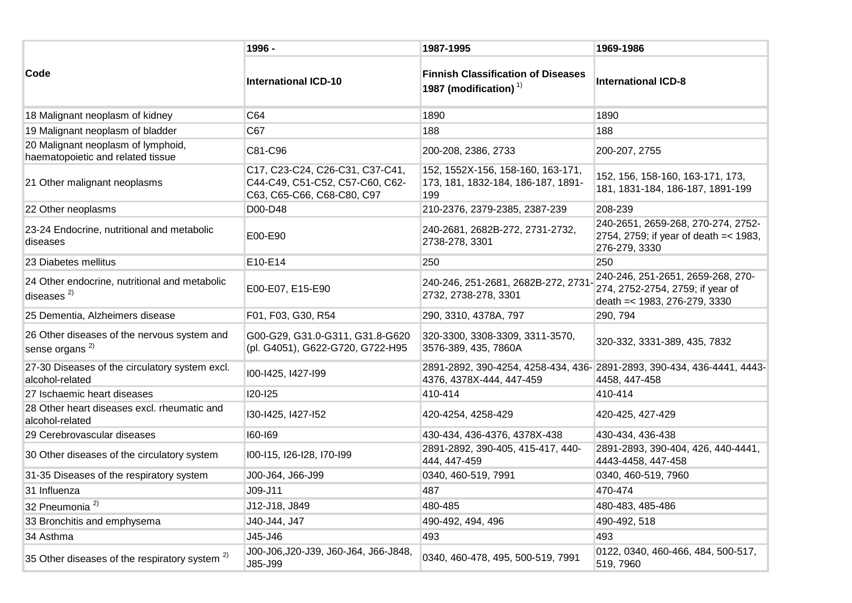|                                                                         | 1996 -                                                                                           | 1987-1995                                                                      | 1969-1986                                                                                              |
|-------------------------------------------------------------------------|--------------------------------------------------------------------------------------------------|--------------------------------------------------------------------------------|--------------------------------------------------------------------------------------------------------|
| Code                                                                    | <b>International ICD-10</b>                                                                      | <b>Finnish Classification of Diseases</b><br>1987 (modification) $1$           | <b>International ICD-8</b>                                                                             |
| 18 Malignant neoplasm of kidney                                         | C64                                                                                              | 1890                                                                           | 1890                                                                                                   |
| 19 Malignant neoplasm of bladder                                        | C67                                                                                              | 188                                                                            | 188                                                                                                    |
| 20 Malignant neoplasm of lymphoid,<br>haematopoietic and related tissue | C81-C96                                                                                          | 200-208, 2386, 2733                                                            | 200-207, 2755                                                                                          |
| 21 Other malignant neoplasms                                            | C17, C23-C24, C26-C31, C37-C41,<br>C44-C49, C51-C52, C57-C60, C62-<br>C63, C65-C66, C68-C80, C97 | 152, 1552X-156, 158-160, 163-171,<br>173, 181, 1832-184, 186-187, 1891-<br>199 | 152, 156, 158-160, 163-171, 173,<br>181, 1831-184, 186-187, 1891-199                                   |
| 22 Other neoplasms                                                      | D00-D48                                                                                          | 210-2376, 2379-2385, 2387-239                                                  | 208-239                                                                                                |
| 23-24 Endocrine, nutritional and metabolic<br>diseases                  | E00-E90                                                                                          | 240-2681, 2682B-272, 2731-2732,<br>2738-278, 3301                              | 240-2651, 2659-268, 270-274, 2752-<br>2754, 2759; if year of death = < 1983,<br>276-279, 3330          |
| 23 Diabetes mellitus                                                    | E10-E14                                                                                          | 250                                                                            | 250                                                                                                    |
| 24 Other endocrine, nutritional and metabolic<br>diseases $^{2)}$       | E00-E07, E15-E90                                                                                 | 240-246, 251-2681, 2682B-272, 2731-<br>2732, 2738-278, 3301                    | 240-246, 251-2651, 2659-268, 270-<br>274, 2752-2754, 2759; if year of<br>death = < 1983, 276-279, 3330 |
| 25 Dementia, Alzheimers disease                                         | F01, F03, G30, R54                                                                               | 290, 3310, 4378A, 797                                                          | 290, 794                                                                                               |
| 26 Other diseases of the nervous system and<br>sense organs $^{2)}$     | G00-G29, G31.0-G311, G31.8-G620<br>(pl. G4051), G622-G720, G722-H95                              | 320-3300, 3308-3309, 3311-3570,<br>3576-389, 435, 7860A                        | 320-332, 3331-389, 435, 7832                                                                           |
| 27-30 Diseases of the circulatory system excl.<br>alcohol-related       | 100-1425, 1427-199                                                                               | 4376, 4378X-444, 447-459                                                       | 2891-2892, 390-4254, 4258-434, 436-2891-2893, 390-434, 436-4441, 4443-<br>4458, 447-458                |
| 27 Ischaemic heart diseases                                             | 120-125                                                                                          | 410-414                                                                        | 410-414                                                                                                |
| 28 Other heart diseases excl. rheumatic and<br>alcohol-related          | 130-1425, 1427-152                                                                               | 420-4254, 4258-429                                                             | 420-425, 427-429                                                                                       |
| 29 Cerebrovascular diseases                                             | 160-169                                                                                          | 430-434, 436-4376, 4378X-438                                                   | 430-434, 436-438                                                                                       |
| 30 Other diseases of the circulatory system                             | I00-I15, I26-I28, I70-I99                                                                        | 2891-2892, 390-405, 415-417, 440-<br>444, 447-459                              | 2891-2893, 390-404, 426, 440-4441,<br>4443-4458, 447-458                                               |
| 31-35 Diseases of the respiratory system                                | J00-J64, J66-J99                                                                                 | 0340, 460-519, 7991                                                            | 0340, 460-519, 7960                                                                                    |
| 31 Influenza                                                            | J09-J11                                                                                          | 487                                                                            | 470-474                                                                                                |
| 32 Pneumonia <sup>2)</sup>                                              | J12-J18, J849                                                                                    | 480-485                                                                        | 480-483, 485-486                                                                                       |
| 33 Bronchitis and emphysema                                             | J40-J44, J47                                                                                     | 490-492, 494, 496                                                              | 490-492, 518                                                                                           |
| 34 Asthma                                                               | J45-J46                                                                                          | 493                                                                            | 493                                                                                                    |
| 35 Other diseases of the respiratory system <sup>2)</sup>               | J00-J06, J20-J39, J60-J64, J66-J848,<br>J85-J99                                                  | 0340, 460-478, 495, 500-519, 7991                                              | 0122, 0340, 460-466, 484, 500-517,<br>519, 7960                                                        |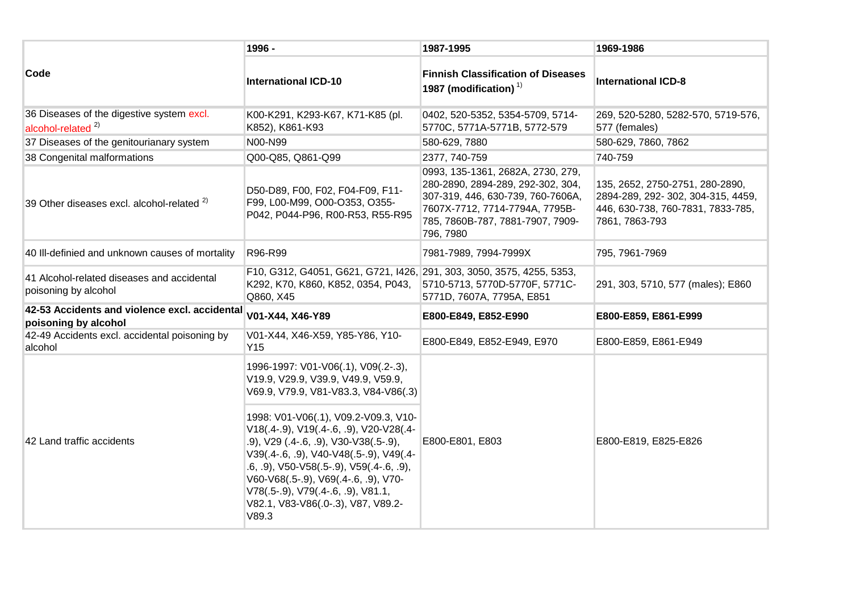|                                                                       | 1996 -                                                                                                                                                                                                                                                                                                                                                                                                                                                             | 1987-1995                                                                                                                                                                                      | 1969-1986                                                                                                                    |
|-----------------------------------------------------------------------|--------------------------------------------------------------------------------------------------------------------------------------------------------------------------------------------------------------------------------------------------------------------------------------------------------------------------------------------------------------------------------------------------------------------------------------------------------------------|------------------------------------------------------------------------------------------------------------------------------------------------------------------------------------------------|------------------------------------------------------------------------------------------------------------------------------|
| Code                                                                  | <b>International ICD-10</b>                                                                                                                                                                                                                                                                                                                                                                                                                                        | <b>Finnish Classification of Diseases</b><br>1987 (modification) $1$                                                                                                                           | <b>International ICD-8</b>                                                                                                   |
| 36 Diseases of the digestive system excl.<br>alcohol-related $^{2)}$  | K00-K291, K293-K67, K71-K85 (pl.<br>K852), K861-K93                                                                                                                                                                                                                                                                                                                                                                                                                | 0402, 520-5352, 5354-5709, 5714-<br>5770C, 5771A-5771B, 5772-579                                                                                                                               | 269, 520-5280, 5282-570, 5719-576,<br>577 (females)                                                                          |
| 37 Diseases of the genitourianary system                              | N00-N99                                                                                                                                                                                                                                                                                                                                                                                                                                                            | 580-629, 7880                                                                                                                                                                                  | 580-629, 7860, 7862                                                                                                          |
| 38 Congenital malformations                                           | Q00-Q85, Q861-Q99                                                                                                                                                                                                                                                                                                                                                                                                                                                  | 2377, 740-759                                                                                                                                                                                  | 740-759                                                                                                                      |
| 39 Other diseases excl. alcohol-related <sup>2)</sup>                 | D50-D89, F00, F02, F04-F09, F11-<br>F99, L00-M99, O00-O353, O355-<br>P042, P044-P96, R00-R53, R55-R95                                                                                                                                                                                                                                                                                                                                                              | 0993, 135-1361, 2682A, 2730, 279,<br>280-2890, 2894-289, 292-302, 304,<br>307-319, 446, 630-739, 760-7606A,<br>7607X-7712, 7714-7794A, 7795B-<br>785, 7860B-787, 7881-7907, 7909-<br>796, 7980 | 135, 2652, 2750-2751, 280-2890,<br>2894-289, 292- 302, 304-315, 4459,<br>446, 630-738, 760-7831, 7833-785,<br>7861, 7863-793 |
| 40 Ill-definied and unknown causes of mortality                       | R96-R99                                                                                                                                                                                                                                                                                                                                                                                                                                                            | 7981-7989, 7994-7999X                                                                                                                                                                          | 795, 7961-7969                                                                                                               |
| 41 Alcohol-related diseases and accidental<br>poisoning by alcohol    | F10, G312, G4051, G621, G721, I426, 291, 303, 3050, 3575, 4255, 5353,<br>K292, K70, K860, K852, 0354, P043,<br>Q860, X45                                                                                                                                                                                                                                                                                                                                           | 5710-5713, 5770D-5770F, 5771C-<br>5771D, 7607A, 7795A, E851                                                                                                                                    | 291, 303, 5710, 577 (males); E860                                                                                            |
| 42-53 Accidents and violence excl. accidental<br>poisoning by alcohol | V01-X44, X46-Y89                                                                                                                                                                                                                                                                                                                                                                                                                                                   | E800-E849, E852-E990                                                                                                                                                                           | E800-E859, E861-E999                                                                                                         |
| 42-49 Accidents excl. accidental poisoning by<br>alcohol              | V01-X44, X46-X59, Y85-Y86, Y10-<br>Y15                                                                                                                                                                                                                                                                                                                                                                                                                             | E800-E849, E852-E949, E970                                                                                                                                                                     | E800-E859, E861-E949                                                                                                         |
| 42 Land traffic accidents                                             | 1996-1997: V01-V06(.1), V09(.2-.3),<br>V19.9, V29.9, V39.9, V49.9, V59.9,<br>V69.9, V79.9, V81-V83.3, V84-V86(.3)<br>1998: V01-V06(.1), V09.2-V09.3, V10-<br>V18(.4-.9), V19(.4-.6, .9), V20-V28(.4-<br>.9), V29 (.4-.6, .9), V30-V38(.5-.9),<br>V39(.4-.6, .9), V40-V48(.5-.9), V49(.4-<br>$.6, .9$ , V50-V58 $(.5-.9)$ , V59 $(.4-.6, .9)$ ,<br>V60-V68(.5-.9), V69(.4-.6, .9), V70-<br>V78(.5-.9), V79(.4-.6, .9), V81.1,<br>V82.1, V83-V86(.0-.3), V87, V89.2- | E800-E801, E803                                                                                                                                                                                | E800-E819, E825-E826                                                                                                         |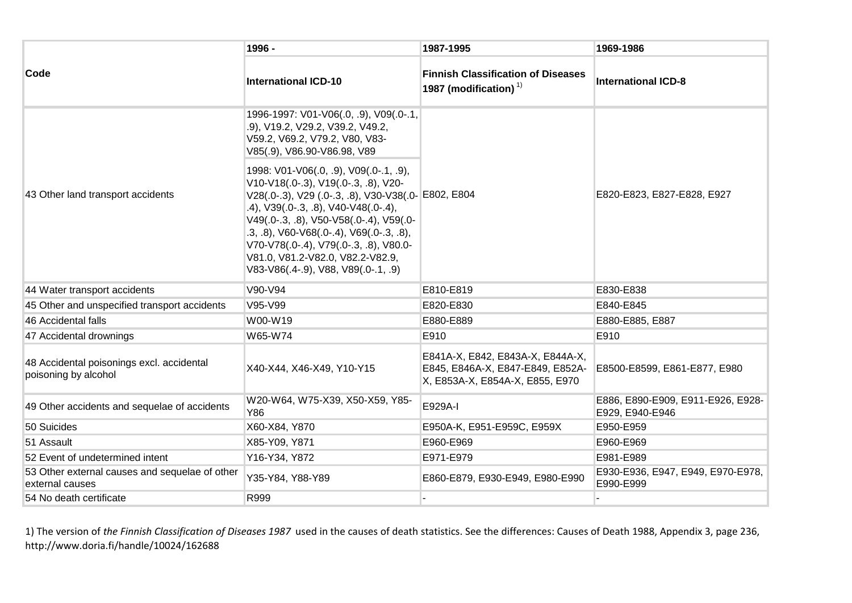|                                                                   | 1996 -                                                                                                                                                                                                                                                                                                                                                                                                         | 1987-1995                                                                                               | 1969-1986                                            |
|-------------------------------------------------------------------|----------------------------------------------------------------------------------------------------------------------------------------------------------------------------------------------------------------------------------------------------------------------------------------------------------------------------------------------------------------------------------------------------------------|---------------------------------------------------------------------------------------------------------|------------------------------------------------------|
| Code                                                              | <b>International ICD-10</b>                                                                                                                                                                                                                                                                                                                                                                                    | <b>Finnish Classification of Diseases</b><br>1987 (modification) $1$                                    | <b>International ICD-8</b>                           |
| 43 Other land transport accidents                                 | 1996-1997: V01-V06(.0, .9), V09(.0-.1,<br>.9), V19.2, V29.2, V39.2, V49.2,<br>V59.2, V69.2, V79.2, V80, V83-<br>V85(.9), V86.90-V86.98, V89                                                                                                                                                                                                                                                                    |                                                                                                         | E820-E823, E827-E828, E927                           |
|                                                                   | 1998: V01-V06(.0, .9), V09(.0-.1, .9),<br>V10-V18(.0-.3), V19(.0-.3, .8), V20-<br>V28(.0-.3), V29 (.0-.3, .8), V30-V38(.0- E802, E804<br>$(4)$ , V39( $(0-3, 0.8)$ , V40-V48( $(0-4)$ ,<br>V49(.0-.3, .8), V50-V58(.0-.4), V59(.0-<br>$(3, .8)$ , V60-V68 $(0.0-4)$ , V69 $(0.0-3, .8)$ ,<br>V70-V78(.0-.4), V79(.0-.3, .8), V80.0-<br>V81.0, V81.2-V82.0, V82.2-V82.9,<br>V83-V86(.4-.9), V88, V89(.0-.1, .9) |                                                                                                         |                                                      |
| 44 Water transport accidents                                      | V90-V94                                                                                                                                                                                                                                                                                                                                                                                                        | E810-E819                                                                                               | E830-E838                                            |
| 45 Other and unspecified transport accidents                      | V95-V99                                                                                                                                                                                                                                                                                                                                                                                                        | E820-E830                                                                                               | E840-E845                                            |
| 46 Accidental falls                                               | W00-W19                                                                                                                                                                                                                                                                                                                                                                                                        | E880-E889                                                                                               | E880-E885, E887                                      |
| 47 Accidental drownings                                           | W65-W74                                                                                                                                                                                                                                                                                                                                                                                                        | E910                                                                                                    | E910                                                 |
| 48 Accidental poisonings excl. accidental<br>poisoning by alcohol | X40-X44, X46-X49, Y10-Y15                                                                                                                                                                                                                                                                                                                                                                                      | E841A-X, E842, E843A-X, E844A-X,<br>E845, E846A-X, E847-E849, E852A-<br>X, E853A-X, E854A-X, E855, E970 | E8500-E8599, E861-E877, E980                         |
| 49 Other accidents and sequelae of accidents                      | W20-W64, W75-X39, X50-X59, Y85-<br>Y86                                                                                                                                                                                                                                                                                                                                                                         | E929A-I                                                                                                 | E886, E890-E909, E911-E926, E928-<br>E929, E940-E946 |
| 50 Suicides                                                       | X60-X84, Y870                                                                                                                                                                                                                                                                                                                                                                                                  | E950A-K, E951-E959C, E959X                                                                              | E950-E959                                            |
| 51 Assault                                                        | X85-Y09, Y871                                                                                                                                                                                                                                                                                                                                                                                                  | E960-E969                                                                                               | E960-E969                                            |
| 52 Event of undetermined intent                                   | Y16-Y34, Y872                                                                                                                                                                                                                                                                                                                                                                                                  | E971-E979                                                                                               | E981-E989                                            |
| 53 Other external causes and sequelae of other<br>external causes | Y35-Y84, Y88-Y89                                                                                                                                                                                                                                                                                                                                                                                               | E860-E879, E930-E949, E980-E990                                                                         | E930-E936, E947, E949, E970-E978,<br>E990-E999       |
| 54 No death certificate                                           | R999                                                                                                                                                                                                                                                                                                                                                                                                           |                                                                                                         |                                                      |

1) The version of *the Finnish Classification of Diseases 1987* used in the causes of death statistics. See the differences: Causes of Death 1988, Appendix 3, page 236, http://www.doria.fi/handle/10024/162688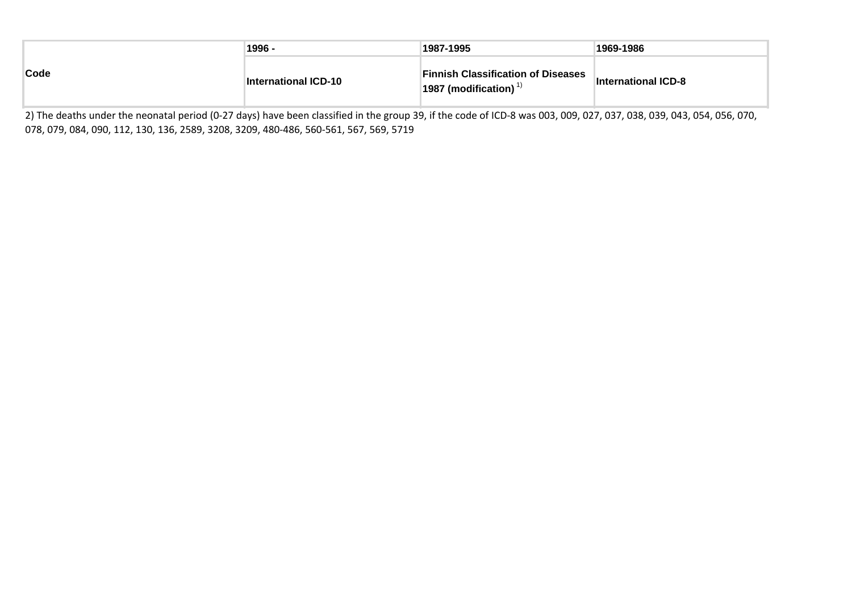|      | 1996 -                      | 1987-1995                                                               | 1969-1986                  |
|------|-----------------------------|-------------------------------------------------------------------------|----------------------------|
| Code | <b>International ICD-10</b> | <b>Finnish Classification of Diseases</b><br>1987 (modification) $^{1}$ | <b>International ICD-8</b> |

2) The deaths under the neonatal period (0-27 days) have been classified in the group 39, if the code of ICD-8 was 003, 009, 027, 037, 038, 039, 043, 054, 056, 070, 078, 079, 084, 090, 112, 130, 136, 2589, 3208, 3209, 480-486, 560-561, 567, 569, 5719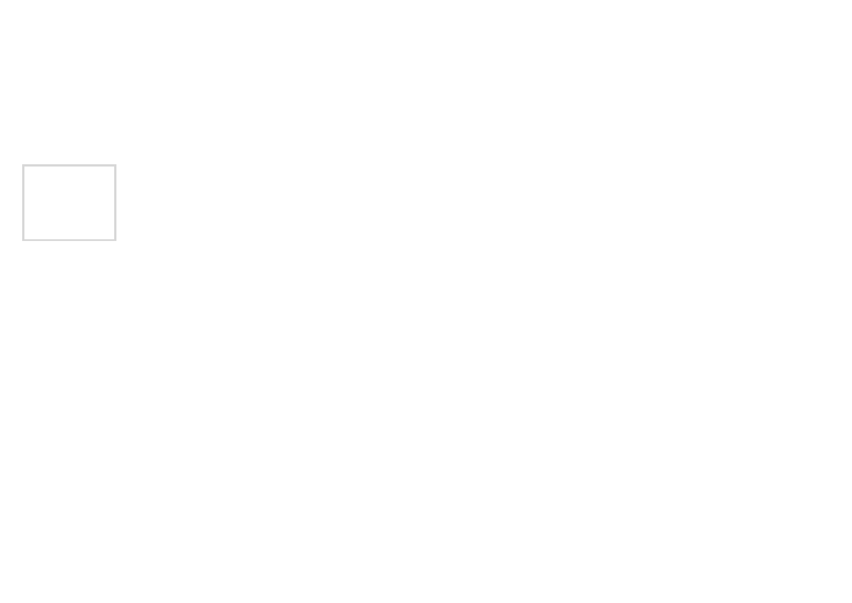